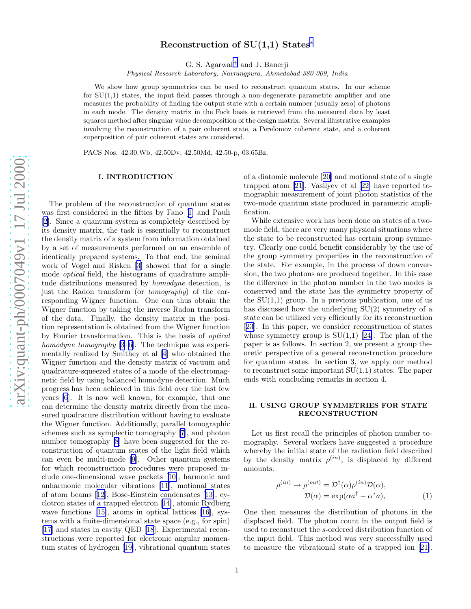# Reconstruction of SU(1,1) States<sup>\*</sup>

G. S. Agarwal [+](#page-6-0) and J. Banerji

Physical Research Laboratory, Navrangpura, Ahmedabad 380 009, India

We show how group symmetries can be used to reconstruct quantum states. In our scheme for  $SU(1,1)$  states, the input field passes through a non-degenerate parametric amplifier and one measures the probability of finding the output state with a certain number (usually zero) of photons in each mode. The density matrix in the Fock basis is retrieved from the measured data by least squares method after singular value decomposition of the design matrix. Several illustrative examples involving the reconstruction of a pair coherent state, a Perelomov coherent state, and a coherent superposition of pair coherent states are considered.

PACS Nos. 42.30.Wb, 42.50Dv, 42.50Md, 42.50-p, 03.65Bz.

## I. INTRODUCTION

The problem of the reconstruction of quantum states was first considered in the fifties by Fano[[1\]](#page-6-0) and Pauli [[2\]](#page-6-0). Since a quantum system is completely described by its density matrix, the task is essentially to reconstruct the density matrix of a system from information obtained by a set of measurements performed on an ensemble of identically prepared systems. To that end, the seminal work of Vogel and Risken[[3\]](#page-6-0) showed that for a single mode optical field, the histograms of quadrature amplitude distributions measured by homodyne detection, is just the Radon transform (or tomography) of the corresponding Wigner function. One can thus obtain the Wigner function by taking the inverse Radon transform of the data. Finally, the density matrix in the position representation is obtained from the Wigner function by Fourier transformation. This is the basis of optical homodyne tomography [\[3–6](#page-6-0)]. The technique was experimentally realized by Smithey et al [\[4](#page-6-0)] who obtained the Wigner function and the density matrix of vacuum and quadrature-squeezed states of a mode of the electromagnetic field by using balanced homodyne detection. Much progress has been achieved in this field over the last few years [\[6](#page-6-0)]. It is now well known, for example, that one can determine the density matrix directly from the measured quadrature distribution without having to evaluate the Wigner function. Additionally, parallel tomographic schemes such as symplectic tomography[[7\]](#page-6-0), and photon number tomography [\[8](#page-6-0)] have been suggested for the reconstruction of quantum states of the light field which can even be multi-mode [\[9](#page-6-0)]. Other quantum systems for which reconstruction procedures were proposed include one-dimensional wave packets[[10\]](#page-6-0), harmonic and anharmonic molecular vibrations [\[11](#page-6-0)], motional states of atom beams[[12\]](#page-6-0), Bose-Einstein condensates[[13\]](#page-6-0), cyclotron states of a trapped electron [\[14](#page-6-0)], atomic Rydberg wave functions [\[15\]](#page-6-0), atoms in optical lattices [\[16](#page-6-0)], systems with a finite-dimensional state space (e.g., for spin) [[17\]](#page-6-0) and states in cavity QED [\[18](#page-6-0)]. Experimental reconstructions were reported for electronic angular momentum states of hydrogen[[19\]](#page-6-0), vibrational quantum states of a diatomic molecule[[20\]](#page-6-0) and motional state of a single trapped atom [\[21](#page-6-0)]. Vasilyev et al[[22\]](#page-6-0) have reported tomographic measurement of joint photon statistics of the two-mode quantum state produced in parametric amplification.

While extensive work has been done on states of a twomode field, there are very many physical situations where the state to be reconstructed has certain group symmetry. Clearly one could benefit considerably by the use of the group symmetry properties in the reconstruction of the state. For example, in the process of down conversion, the two photons are produced together. In this case the difference in the photon number in the two modes is conserved and the state has the symmetry property of the  $SU(1,1)$  group. In a previous publication, one of us has discussed how the underlying SU(2) symmetry of a state can be utilized very efficiently for its reconstruction [[23\]](#page-6-0). In this paper, we consider reconstruction of states whose symmetry group is  $SU(1,1)$  [\[24\]](#page-6-0). The plan of the paper is as follows. In section 2, we present a group theoretic perspective of a general reconstruction procedure for quantum states. In section 3, we apply our method to reconstruct some important  $SU(1,1)$  states. The paper ends with concluding remarks in section 4.

## II. USING GROUP SYMMETRIES FOR STATE RECONSTRUCTION

Let us first recall the principles of photon number tomography. Several workers have suggested a procedure whereby the initial state of the radiation field described by the density matrix  $\rho^{(in)}$ , is displaced by different amounts.

$$
\rho^{(in)} \to \rho^{(out)} = \mathcal{D}^{\dagger}(\alpha)\rho^{(in)}\mathcal{D}(\alpha),
$$
  
\n
$$
\mathcal{D}(\alpha) = \exp(\alpha a^{\dagger} - \alpha^* a),
$$
\n(1)

One then measures the distribution of photons in the displaced field. The photon count in the output field is used to reconstruct the s-ordered distribution function of the input field. This method was very successfully used to measure the vibrational state of a trapped ion[[21\]](#page-6-0).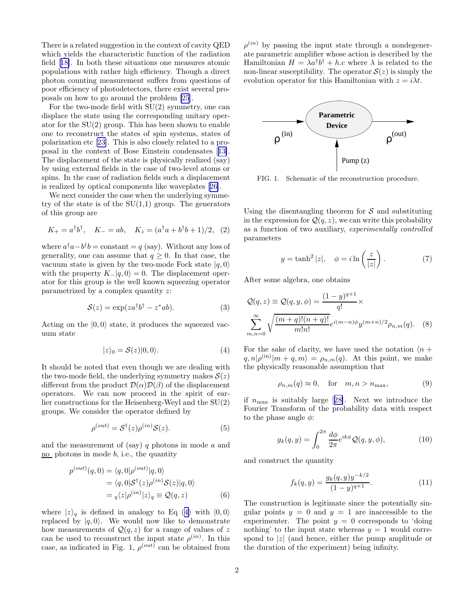<span id="page-1-0"></span>There is a related suggestion in the context of cavity QED which yields the characteristic function of the radiation field[[18\]](#page-6-0). In both these situations one measures atomic populations with rather high efficiency. Though a direct photon counting measurement suffers from questions of poor efficiency of photodetectors, there exist several proposals on how to go around the problem [\[25](#page-6-0)].

For the two-mode field with  $SU(2)$  symmetry, one can displace the state using the corresponding unitary operator for the SU(2) group. This has been shown to enable one to reconstruct the states of spin systems, states of polarization etc[[23\]](#page-6-0). This is also closely related to a proposal in the context of Bose Einstein condensates[[13\]](#page-6-0). The displacement of the state is physically realized (say) by using external fields in the case of two-level atoms or spins. In the case of radiation fields such a displacement is realized by optical components like waveplates[[26\]](#page-6-0).

We next consider the case when the underlying symmetry of the state is of the  $SU(1,1)$  group. The generators of this group are

$$
K_{+} = a^{\dagger}b^{\dagger}, \quad K_{-} = ab, \quad K_{z} = (a^{\dagger}a + b^{\dagger}b + 1)/2, (2)
$$

where  $a^{\dagger}a - b^{\dagger}b = \text{constant} = q$  (say). Without any loss of generality, one can assume that  $q \geq 0$ . In that case, the vacuum state is given by the two-mode Fock state  $|q, 0\rangle$ with the property  $K_{-}|q,0\rangle = 0$ . The displacement operator for this group is the well known squeezing operator parametrized by a complex quantity z:

$$
S(z) = \exp(za^{\dagger}b^{\dagger} - z^*ab). \tag{3}
$$

Acting on the  $|0, 0\rangle$  state, it produces the squeezed vacuum state

$$
|z\rangle_0 = \mathcal{S}(z)|0,0\rangle. \tag{4}
$$

It should be noted that even though we are dealing with the two-mode field, the underlying symmetry makes  $S(z)$ different from the product  $\mathcal{D}(\alpha)\mathcal{D}(\beta)$  of the displacement operators. We can now proceed in the spirit of earlier constructions for the Heisenberg-Weyl and the SU(2) groups. We consider the operator defined by

$$
\rho^{(out)} = \mathcal{S}^{\dagger}(z)\rho^{(in)}\mathcal{S}(z). \tag{5}
$$

and the measurement of (say)  $q$  photons in mode  $a$  and  $\overline{no}$  photons in mode b, i.e., the quantity

$$
p^{(out)}(q,0) = \langle q, 0 | \rho^{(out)} | q, 0 \rangle
$$
  
=  $\langle q, 0 | \mathcal{S}^{\dagger}(z) \rho^{(in)} \mathcal{S}(z) | q, 0 \rangle$   
=  $q \langle z | \rho^{(in)} | z \rangle_q \equiv \mathcal{Q}(q, z)$  (6)

where  $|z\rangle_q$  is defined in analogy to Eq (4) with  $|0,0\rangle$ replaced by  $|q, 0\rangle$ . We would now like to demonstrate how measurements of  $\mathcal{Q}(q, z)$  for a range of values of z can be used to reconstruct the input state  $\rho^{(in)}$ . In this case, as indicated in Fig. 1,  $\rho^{(out)}$  can be obtained from

 $\rho^{(in)}$  by passing the input state through a nondegenerate parametric amplifier whose action is described by the Hamiltonian  $H = \lambda a^{\dagger} b^{\dagger} + h.c$  where  $\lambda$  is related to the non-linear susceptibility. The operator  $S(z)$  is simply the evolution operator for this Hamiltonian with  $z = i\lambda t$ .



FIG. 1. Schematic of the reconstruction procedure.

Using the disentangling theorem for  $S$  and substituting in the expression for  $\mathcal{Q}(q, z)$ , we can write this probability as a function of two auxiliary, experimentally controlled parameters

$$
y = \tanh^2|z|, \quad \phi = i \ln\left(\frac{z}{|z|}\right). \tag{7}
$$

After some algebra, one obtains

$$
Q(q, z) \equiv Q(q, y, \phi) = \frac{(1 - y)^{q+1}}{q!} \times \sum_{m,n=0}^{\infty} \sqrt{\frac{(m+q)!(n+q)!}{m!n!}} e^{i(m-n)\phi} y^{(m+n)/2} \rho_{n,m}(q). \quad (8)
$$

For the sake of clarity, we have used the notation  $\langle n + \rangle$  $q, n | \rho^{(in)} | m + q, m \rangle = \rho_{n,m}(q)$ . At this point, we make the physically reasonable assumption that

$$
\rho_{n,m}(q) \approx 0, \quad \text{for} \quad m, n > n_{\text{max}}, \tag{9}
$$

if $n_{\text{max}}$  is suitably large [[28\]](#page-6-0). Next we introduce the Fourier Transform of the probability data with respect to the phase angle  $\phi$ :

$$
g_k(q, y) = \int_0^{2\pi} \frac{d\phi}{2\pi} e^{ik\phi} \mathcal{Q}(q, y, \phi), \tag{10}
$$

and construct the quantity

$$
f_k(q,y) = \frac{g_k(q,y)y^{-k/2}}{(1-y)^{q+1}}.
$$
\n(11)

The construction is legitimate since the potentially singular points  $y = 0$  and  $y = 1$  are inaccessible to the experimenter. The point  $y = 0$  corresponds to 'doing nothing' to the input state whereas  $y = 1$  would correspond to  $|z|$  (and hence, either the pump amplitude or the duration of the experiment) being infinity.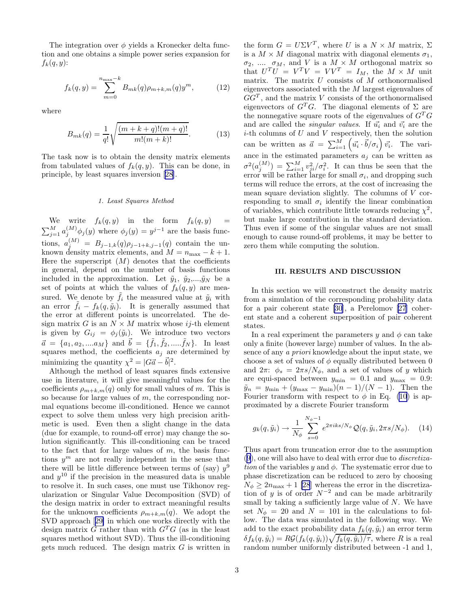The integration over  $\phi$  yields a Kronecker delta function and one obtains a simple power series expansion for  $f_k(q, y)$ :

$$
f_k(q, y) = \sum_{m=0}^{n_{\text{max}} - k} B_{mk}(q) \rho_{m+k,m}(q) y^m, \qquad (12)
$$

where

$$
B_{mk}(q) = \frac{1}{q!} \sqrt{\frac{(m+k+q)!(m+q)!}{m!(m+k)!}}.
$$
 (13)

The task now is to obtain the density matrix elements from tabulated values of  $f_k(q, y)$ . This can be done, in principle, by least squares inversion[[28\]](#page-6-0).

#### 1. Least Squares Method

We write  $f_k(q, y)$  in the form  $f_k(q, y)$  =  $\sum_{j=1}^{M} a_j^{(M)} \phi_j(y)$  where  $\phi_j(y) = y^{j-1}$  are the basis functions,  $a_j^{(M)} = B_{j-1,k}(q) \rho_{j-1+k,j-1}(q)$  contain the unknown density matrix elements, and  $M = n_{\text{max}} - k + 1$ . Here the superscript  $(M)$  denotes that the coefficients in general, depend on the number of basis functions included in the approximation. Let  $\tilde{y}_1$ ,  $\tilde{y}_2,...,\tilde{y}_N$  be a set of points at which the values of  $f_k(q, y)$  are measured. We denote by  $\tilde{f}_i$  the measured value at  $\tilde{y}_i$  with an error  $f_i - f_k(q, \tilde{y}_i)$ . It is generally assumed that the error at different points is uncorrelated. The design matrix G is an  $N \times M$  matrix whose ij-th element is given by  $G_{ij} = \phi_j(\tilde{y}_i)$ . We introduce two vectors  $\vec{a} = \{a_1, a_2, \dots, a_M\}$  and  $\vec{b} = \{\tilde{f}_1, \tilde{f}_2, \dots, \tilde{f}_N\}$ . In least squares method, the coefficients  $a_j$  are determined by minimizing the quantity  $\chi^2 = |G\vec{a} - \vec{b}|^2$ .

Although the method of least squares finds extensive use in literature, it will give meaningful values for the coefficients  $\rho_{m+k,m}(q)$  only for small values of m. This is so because for large values of  $m$ , the corresponding normal equations become ill-conditioned. Hence we cannot expect to solve them unless very high precision arithmetic is used. Even then a slight change in the data (due for example, to round-off error) may change the solution significantly. This ill-conditioning can be traced to the fact that for large values of  $m$ , the basis functions  $y^m$  are not really independent in the sense that there will be little difference between terms of (say)  $y^9$ and  $y^{10}$  if the precision in the measured data is unable to resolve it. In such cases, one must use Tikhonov regularization or Singular Value Decomposition (SVD) of the design matrix in order to extract meaningful results for the unknown coefficients  $\rho_{m+k,m}(q)$ . We adopt the SVD approach[[29\]](#page-6-0) in which one works directly with the design matrix G rather than with  $G^T G$  (as in the least squares method without SVD). Thus the ill-conditioning gets much reduced. The design matrix  $G$  is written in

the form  $G = U\Sigma V^T$ , where U is a  $N \times M$  matrix,  $\Sigma$ is a  $M \times M$  diagonal matrix with diagonal elements  $\sigma_1$ ,  $\sigma_2$ , ....  $\sigma_M$ , and V is a  $M \times M$  orthogonal matrix so that  $U^T U = V^T V = V V^T = I_M$ , the  $M \times M$  unit matrix. The matrix  $U$  consists of  $M$  orthonormalised eigenvectors associated with the M largest eigenvalues of  $GG<sup>T</sup>$ , and the matrix V consists of the orthonormalised eigenvectors of  $G<sup>T</sup>G$ . The diagonal elements of  $\Sigma$  are the nonnegative square roots of the eigenvalues of  $G^T G$ and are called the *singular values*. If  $\vec{u_i}$  and  $\vec{v_i}$  are the  $i$ -th columns of  $U$  and  $V$  respectively, then the solution can be written as  $\vec{a} = \sum_{i=1}^{M} \left( \vec{u_i} \cdot \vec{b}/\sigma_i \right) \vec{v_i}$ . The variance in the estimated parameters  $a_j$  can be written as  $\sigma^2(a_j^{(M)}) = \sum_{i=1}^M v_{ji}^2/\sigma_i^2$ . It can thus be seen that the error will be rather large for small  $\sigma_i$ , and dropping such terms will reduce the errors, at the cost of increasing the mean square deviation slightly. The columns of V corresponding to small  $\sigma_i$  identify the linear combination of variables, which contribute little towards reducing  $\chi^2$ , but make large contribution in the standard deviation. Thus even if some of the singular values are not small enough to cause round-off problems, it may be better to zero them while computing the solution.

#### III. RESULTS AND DISCUSSION

In this section we will reconstruct the density matrix from a simulation of the corresponding probability data for a pair coherent state [\[30](#page-6-0)], a Perelomov [\[27](#page-6-0)] coherent state and a coherent superposition of pair coherent states.

In a real experiment the parameters y and  $\phi$  can take only a finite (however large) number of values. In the absence of any a priori knowledge about the input state, we choose a set of values of  $\phi$  equally distributed between 0 and  $2\pi$ :  $\phi_s = 2\pi s/N_\phi$ , and a set of values of y which are equi-spaced between  $y_{\text{min}} = 0.1$  and  $y_{\text{max}} = 0.9$ :  $\tilde{y}_n = y_{\text{min}} + (y_{\text{max}} - y_{\text{min}})(n-1)/(N-1)$ . Then the Fourier transform with respect to  $\phi$  in Eq. [\(10](#page-1-0)) is approximated by a discrete Fourier transform

$$
g_k(q, \tilde{y}_i) \rightarrow \frac{1}{N_\phi} \sum_{s=0}^{N_\phi - 1} e^{2\pi iks/N_\phi} \mathcal{Q}(q, \tilde{y}_i, 2\pi s/N_\phi). \quad (14)
$$

Thus apart from truncation error due to the assumption ([9\)](#page-1-0), one will also have to deal with error due to discretization of the variables y and  $\phi$ . The systematic error due to phase discretization can be reduced to zero by choosing  $N_{\phi} \geq 2n_{\text{max}} + 1$  [\[28](#page-6-0)] whereas the error in the discretization of y is of order  $N^{-2}$  and can be made arbitrarily small by taking a sufficiently large value of  $N$ . We have set  $N_{\phi} = 20$  and  $N = 101$  in the calculations to follow. The data was simulated in the following way. We add to the exact probability data  $f_k(q, \tilde{y}_i)$  an error term  $\delta f_k(q, \tilde{y}_i) = R\mathcal{G}(f_k(q, \tilde{y}_i))\sqrt{f_k(q, \tilde{y}_i)/\tau}$ , where R is a real random number uniformly distributed between -1 and 1,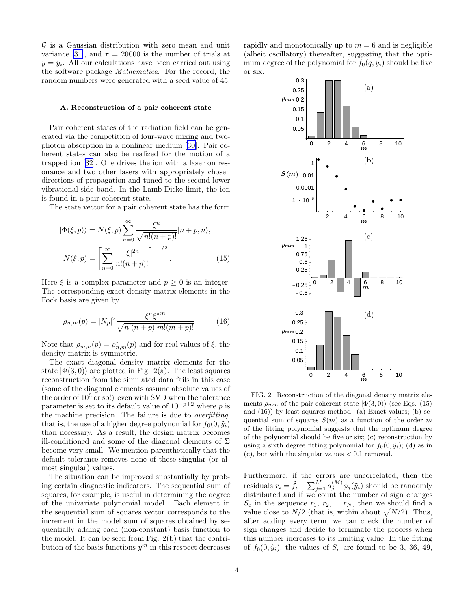$G$  is a Gaussian distribution with zero mean and unit variance [\[31\]](#page-7-0), and  $\tau = 20000$  is the number of trials at  $y = \tilde{y}_i$ . All our calculations have been carried out using the software package Mathematica. For the record, the random numbers were generated with a seed value of 45.

#### A. Reconstruction of a pair coherent state

Pair coherent states of the radiation field can be generated via the competition of four-wave mixing and twophoton absorption in a nonlinear medium[[30\]](#page-6-0). Pair coherent states can also be realized for the motion of a trapped ion[[32\]](#page-7-0). One drives the ion with a laser on resonance and two other lasers with appropriately chosen directions of propagation and tuned to the second lower vibrational side band. In the Lamb-Dicke limit, the ion is found in a pair coherent state.

The state vector for a pair coherent state has the form

$$
|\Phi(\xi, p)\rangle = N(\xi, p) \sum_{n=0}^{\infty} \frac{\xi^n}{\sqrt{n!(n+p)!}} |n+p, n\rangle,
$$
  

$$
N(\xi, p) = \left[\sum_{n=0}^{\infty} \frac{|\xi|^{2n}}{n!(n+p)!}\right]^{-1/2}.
$$
 (15)

Here  $\xi$  is a complex parameter and  $p \geq 0$  is an integer. The corresponding exact density matrix elements in the Fock basis are given by

$$
\rho_{n,m}(p) = |N_p|^2 \frac{\xi^n \xi^{*m}}{\sqrt{n!(n+p)!m!(m+p)!}} \tag{16}
$$

Note that  $\rho_{m,n}(p) = \rho_{n,m}^*(p)$  and for real values of  $\xi$ , the density matrix is symmetric.

The exact diagonal density matrix elements for the state  $|\Phi(3,0)\rangle$  are plotted in Fig. 2(a). The least squares reconstruction from the simulated data fails in this case (some of the diagonal elements assume absolute values of the order of  $10^3$  or so!) even with SVD when the tolerance parameter is set to its default value of  $10^{-p+2}$  where p is the machine precision. The failure is due to overfitting, that is, the use of a higher degree polynomial for  $f_0(0, \tilde{y}_i)$ than necessary. As a result, the design matrix becomes ill-conditioned and some of the diagonal elements of  $\Sigma$ become very small. We mention parenthetically that the default tolerance removes none of these singular (or almost singular) values.

The situation can be improved substantially by probing certain diagnostic indicators. The sequential sum of squares, for example, is useful in determining the degree of the univariate polynomial model. Each element in the sequential sum of squares vector corresponds to the increment in the model sum of squares obtained by sequentially adding each (non-constant) basis function to the model. It can be seen from Fig. 2(b) that the contribution of the basis functions  $y^m$  in this respect decreases

rapidly and monotonically up to  $m = 6$  and is negligible (albeit oscillatory) thereafter, suggesting that the optimum degree of the polynomial for  $f_0(q, \tilde{y}_i)$  should be five or six.



FIG. 2. Reconstruction of the diagonal density matrix elements  $\rho_{mm}$  of the pair coherent state  $|\Phi(3,0)\rangle$  (see Eqs. (15) and (16)) by least squares method. (a) Exact values; (b) sequential sum of squares  $S(m)$  as a function of the order m of the fitting polynomial suggests that the optimum degree of the polynomial should be five or six; (c) reconstruction by using a sixth degree fitting polynomial for  $f_0(0, \tilde{y}_i)$ ; (d) as in  $(c)$ , but with the singular values  $\lt 0.1$  removed.

Furthermore, if the errors are uncorrelated, then the residuals  $r_i = \tilde{f}_i - \sum_{j=1}^{M} a_j^{(M)} \phi_j(\tilde{y}_i)$  should be randomly distributed and if we count the number of sign changes  $S_c$  in the sequence  $r_1, r_2, ..., r_N$ , then we should find a value close to  $N/2$  (that is, within about  $\sqrt{N/2}$ ). Thus, after adding every term, we can check the number of sign changes and decide to terminate the process when this number increases to its limiting value. In the fitting of  $f_0(0, \tilde{y}_i)$ , the values of  $S_c$  are found to be 3, 36, 49,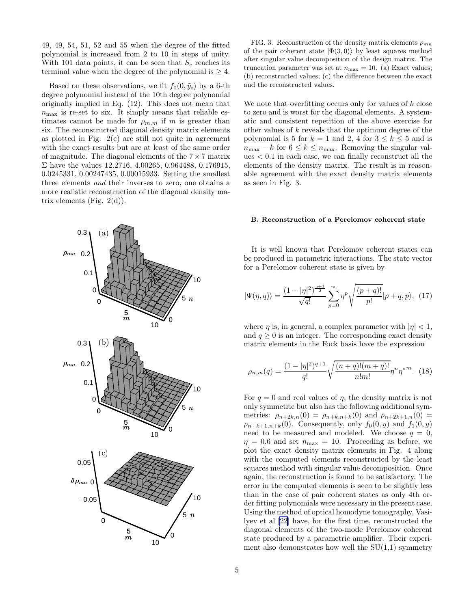49, 49, 54, 51, 52 and 55 when the degree of the fitted polynomial is increased from 2 to 10 in steps of unity. With 101 data points, it can be seen that  $S_c$  reaches its terminal value when the degree of the polynomial is  $\geq 4$ .

Based on these observations, we fit  $f_0(0, \tilde{y}_i)$  by a 6-th degree polynomial instead of the 10th degree polynomial originally implied in Eq. (12). This does not mean that  $n_{\text{max}}$  is re-set to six. It simply means that reliable estimates cannot be made for  $\rho_{m,m}$  if m is greater than six. The reconstructed diagonal density matrix elements as plotted in Fig.  $2(c)$  are still not quite in agreement with the exact results but are at least of the same order of magnitude. The diagonal elements of the  $7 \times 7$  matrix Σ have the values 12.2716, 4.00265, 0.964488, 0.176915, 0.0245331, 0.00247435, 0.00015933. Setting the smallest three elements and their inverses to zero, one obtains a more realistic reconstruction of the diagonal density matrix elements (Fig.  $2(d)$ ).



FIG. 3. Reconstruction of the density matrix elements  $\rho_{mn}$ of the pair coherent state  $|\Phi(3,0)\rangle$  by least squares method after singular value decomposition of the design matrix. The truncation parameter was set at  $n_{\text{max}} = 10$ . (a) Exact values; (b) reconstructed values; (c) the difference between the exact and the reconstructed values.

We note that overfitting occurs only for values of  $k$  close to zero and is worst for the diagonal elements. A systematic and consistent repetition of the above exercise for other values of k reveals that the optimum degree of the polynomial is 5 for  $k = 1$  and 2, 4 for  $3 \leq k \leq 5$  and is  $n_{\text{max}} - k$  for  $6 \leq k \leq n_{\text{max}}$ . Removing the singular values < 0.1 in each case, we can finally reconstruct all the elements of the density matrix. The result is in reasonable agreement with the exact density matrix elements as seen in Fig. 3.

### B. Reconstruction of a Perelomov coherent state

It is well known that Perelomov coherent states can be produced in parametric interactions. The state vector for a Perelomov coherent state is given by

$$
|\Psi(\eta, q)\rangle = \frac{(1 - |\eta|^2)^{\frac{q+1}{2}}}{\sqrt{q!}} \sum_{p=0}^{\infty} \eta^p \sqrt{\frac{(p+q)!}{p!}} |p+q, p\rangle, (17)
$$

where  $\eta$  is, in general, a complex parameter with  $|\eta| < 1$ , and  $q \geq 0$  is an integer. The corresponding exact density matrix elements in the Fock basis have the expression

$$
\rho_{n,m}(q) = \frac{(1-|\eta|^2)^{q+1}}{q!} \sqrt{\frac{(n+q)!(m+q)!}{n!m!}} \eta^n \eta^{*m}.
$$
 (18)

For  $q = 0$  and real values of  $\eta$ , the density matrix is not only symmetric but also has the following additional symmetries:  $\rho_{n+2k,n}(0) = \rho_{n+k,n+k}(0)$  and  $\rho_{n+2k+1,n}(0) =$  $\rho_{n+k+1,n+k}(0)$ . Consequently, only  $f_0(0, y)$  and  $f_1(0, y)$ need to be measured and modeled. We choose  $q = 0$ ,  $\eta = 0.6$  and set  $n_{\text{max}} = 10$ . Proceeding as before, we plot the exact density matrix elements in Fig. 4 along with the computed elements reconstructed by the least squares method with singular value decomposition. Once again, the reconstruction is found to be satisfactory. The error in the computed elements is seen to be slightly less than in the case of pair coherent states as only 4th order fitting polynomials were necessary in the present case. Using the method of optical homodyne tomography, Vasilyev et al[[22](#page-6-0)] have, for the first time, reconstructed the diagonal elements of the two-mode Perelomov coherent state produced by a parametric amplifier. Their experiment also demonstrates how well the  $SU(1,1)$  symmetry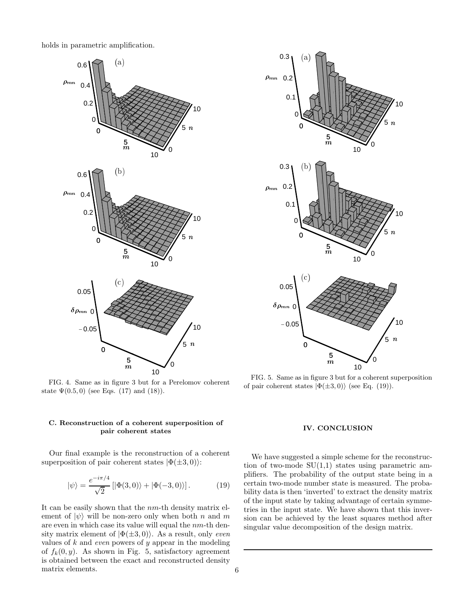holds in parametric amplification.



FIG. 4. Same as in figure 3 but for a Perelomov coherent state  $\Psi(0.5, 0)$  (see Eqs. (17) and (18)).

# C. Reconstruction of a coherent superposition of pair coherent states

Our final example is the reconstruction of a coherent superposition of pair coherent states  $|\Phi(\pm 3,0)\rangle$ :

$$
|\psi\rangle = \frac{e^{-i\pi/4}}{\sqrt{2}} [|\Phi(3,0)\rangle + |\Phi(-3,0)\rangle].
$$
 (19)

It can be easily shown that the nm-th density matrix element of  $|\psi\rangle$  will be non-zero only when both n and m are even in which case its value will equal the nm-th density matrix element of  $|\Phi(\pm 3,0)\rangle$ . As a result, only *even* values of  $k$  and *even* powers of  $y$  appear in the modeling of  $f_k(0, y)$ . As shown in Fig. 5, satisfactory agreement is obtained between the exact and reconstructed density matrix elements.



FIG. 5. Same as in figure 3 but for a coherent superposition of pair coherent states  $|\Phi(\pm 3,0)\rangle$  (see Eq. (19)).

## IV. CONCLUSION

We have suggested a simple scheme for the reconstruction of two-mode  $SU(1,1)$  states using parametric amplifiers. The probability of the output state being in a certain two-mode number state is measured. The probability data is then 'inverted' to extract the density matrix of the input state by taking advantage of certain symmetries in the input state. We have shown that this inversion can be achieved by the least squares method after singular value decomposition of the design matrix.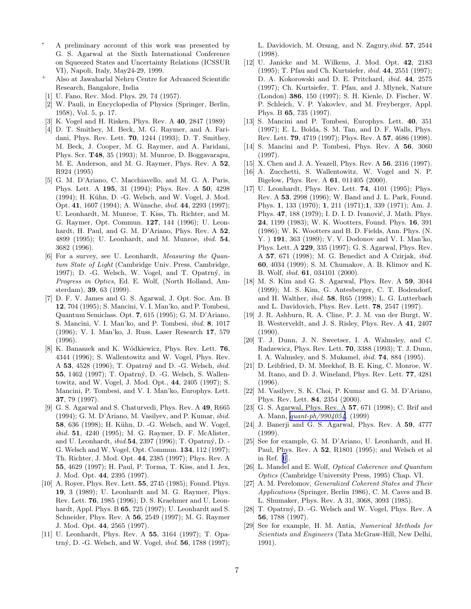- <span id="page-6-0"></span>A preliminary account of this work was presented by G. S. Agarwal at the Sixth International Conference on Squeezed States and Uncertainty Relations (ICSSUR VI), Napoli, Italy, May24-29, 1999.
- Also at Jawaharlal Nehru Centre for Advanced Scientific Research, Bangalore, India
- [1] U. Fano, Rev. Mod. Phys. 29, 74 (1957).
- [2] W. Pauli, in Encyclopedia of Physics (Springer, Berlin, 1958), Vol. 5, p. 17.
- [3] K. Vogel and H. Risken, Phys. Rev. A 40, 2847 (1989)
- [4] D. T. Smithey, M. Beck, M. G. Raymer, and A. Faridani, Phys. Rev. Lett. 70, 1244 (1993); D. T. Smithey, M. Beck, J. Cooper, M. G. Raymer, and A. Faridani, Phys. Scr. T48, 35 (1993); M. Munroe, D. Boggavarapu, M. E. Anderson, and M. G. Raymer, Phys. Rev. A 52, R924 (1995)
- [5] G. M. D'Ariano, C. Macchiavello, and M. G. A. Paris, Phys. Lett. A 195, 31 (1994); Phys. Rev. A 50, 4298  $(1994)$ ; H. Kühn, D. -G. Welsch, and W. Vogel, J. Mod. Opt. 41, 1607 (1994); A. Wünsche, *ibid.* 44, 2293 (1997); U. Leonhardt, M. Munroe, T. Kiss, Th. Richter, and M. G. Raymer, Opt. Commun. 127, 144 (1996); U. Leonhardt, H. Paul, and G. M. D'Ariano, Phys. Rev. A 52, 4899 (1995); U. Leonhardt, and M. Munroe, ibid. 54, 3682 (1996).
- [6] For a survey, see U. Leonhardt, Measuring the Quantum State of Light (Cambridge Univ. Press, Cambridge, 1997); D. -G. Welsch, W. Vogel, and T. Opatrný, in Progress in Optics, Ed. E. Wolf, (North Holland, Amsterdam), 39, 63 (1999).
- [7] D. F. V. James and G. S. Agarwal, J. Opt. Soc. Am. B 12, 704 (1995); S. Mancini, V. I. Man'ko, and P. Tombesi, Quantum Semiclass. Opt. 7, 615 (1995); G. M. D'Ariano, S. Mancini, V. I. Man'ko, and P. Tombesi, ibid. 8, 1017 (1996); V. I. Man'ko, J. Russ. Laser Research 17, 579 (1996).
- [8] K. Banaszek and K. Wódkiewicz, Phys. Rev. Lett. 76, 4344 (1996); S. Wallentowitz and W. Vogel, Phys. Rev. A 53, 4528 (1996); T. Opatrný and D. -G. Welsch, *ibid.* **55**, 1462 (1997); T. Opatrný, D. -G. Welsch, S. Wallentowitz, and W. Vogel, J. Mod. Opt., 44, 2405 (1997); S. Mancini, P. Tombesi, and V. I. Man'ko, Europhys. Lett. 37, 79 (1997).
- [9] G. S. Agarwal and S. Chaturvedi, Phys. Rev. A 49, R665 (1994); G. M. D'Ariano, M. Vasilyev, and P. Kumar, ibid. 58, 636 (1998); H. Kühn, D. -G. Welsch, and W. Vogel, ibid. 51, 4240 (1995); M. G. Raymer, D. F. McAlister, and U. Leonhardt, *ibid.*54, 2397 (1996); T. Opatrný, D. -G. Welsch and W. Vogel, Opt. Commun. 134, 112 (1997); Th. Richter, J. Mod. Opt. 44, 2385 (1997); Phys. Rev. A 55, 4629 (1997); H. Paul, P. Torma, T. Kiss, and I. Jex, J. Mod. Opt. 44, 2395 (1997).
- [10] A. Royer, Phys. Rev. Lett. **55**, 2745 (1985); Found. Phys. 19, 3 (1989); U. Leonhardt and M. G. Raymer, Phys. Rev. Lett. 76, 1985 (1996); D. S. Kraehmer and U. Leonhardt, Appl. Phys. B 65, 725 (1997); U. Leonhardt and S. Schneider, Phys. Rev. A 56, 2549 (1997); M. G. Raymer J. Mod. Opt. 44, 2565 (1997).
- [11] U. Leonhardt, Phys. Rev. A 55, 3164 (1997); T. Opatrný, D. -G. Welsch, and W. Vogel, *ibid.* 56, 1788 (1997);

L. Davidovich, M. Orszag, and N. Zagury,ibid. 57, 2544 (1998).

- [12] U. Janicke and M. Wilkens, J. Mod. Opt. 42, 2183 (1995); T. Pfau and Ch. Kurtsiefer, ibid. 44, 2551 (1997); D. A. Kokorowski and D. E. Pritchard, ibid. 44, 2575 (1997); Ch. Kurtsiefer, T. Pfau, and J. Mlynek, Nature (London) 386, 150 (1997); S. H. Kienle, D. Fischer, W. P. Schleich, V. P. Yakovlev, and M. Freyberger, Appl. Phys. B 65, 735 (1997).
- [13] S. Mancini and P. Tombesi, Europhys. Lett. 40, 351 (1997); E. L. Bolda, S. M. Tan, and D. F. Walls, Phys. Rev. Lett. 79, 4719 (1997); Phys. Rev. A 57, 4686 (1998).
- [14] S. Mancini and P. Tombesi, Phys. Rev. A 56, 3060 (1997).
- [15] X. Chen and J. A. Yeazell, Phys. Rev. A 56, 2316 (1997).
- [16] A. Zucchetti, S. Wallentowitz, W. Vogel and N. P. Bigelow, Phys. Rev. A 61, 011405 (2000).
- [17] U. Leonhardt, Phys. Rev. Lett. **74**, 4101 (1995); Phys. Rev. A 53, 2998 (1996); W. Band and J. L. Park, Found. Phys. 1, 133 (1970); 1, 211 (1971);1, 339 (1971); Am. J. Phys. 47, 188 (1979); I. D. I. D. Ivanović, J. Math. Phys. 24, 1199 (1983); W. K. Wootters, Found. Phys. 16, 391 (1986); W. K. Wootters and B. D. Fields, Ann. Phys. (N. Y. ) 191, 363 (1989); V. V. Dodonov and V. I. Man'ko, Phys. Lett. A 229, 335 (1997); G. S. Agarwal, Phys. Rev. A 57, 671 (1998); M. G. Benedict and A Czirjak, ibid. 60, 4034 (1999); S. M. Chumakov, A. B. Klimov and K. B. Wolf, ibid. 61, 034101 (2000).
- [18] M. S. Kim and G. S. Agarwal, Phys. Rev. A 59, 3044 (1999); M. S. Kim, G. Antesberger, C. T. Bodendorf, and H. Walther, ibid. 58, R65 (1998); L. G. Lutterbach and L. Davidovich, Phys. Rev. Lett. 78, 2547 (1997).
- [19] J. R. Ashburn, R. A. Cline, P. J. M. van der Burgt, W. B. Westerveldt, and J. S. Risley, Phys. Rev. A 41, 2407 (1990).
- [20] T. J. Dunn, J. N. Sweetser, I. A. Walmsley, and C. Radzewicz, Phys. Rev. Lett. 70, 3388 (1993); T. J. Dunn, I. A. Walmsley, and S. Mukamel, ibid. 74, 884 (1995).
- [21] D. Leibfried, D. M. Meekhof, B. E. King, C. Monroe, W. M. Itano, and D. J. Wineland, Phys. Rev. Lett. 77, 4281 (1996).
- [22] M. Vasilyev, S. K. Choi, P. Kumar and G. M. D'Ariano, Phys. Rev. Lett. 84, 2354 (2000).
- [23] G. S. Agarwal, Phys. Rev. A 57, 671 (1998); C. Brif and A. Mann, [quant-ph/9904054](http://arXiv.org/abs/quant-ph/9904054), (1999)
- [24] J. Banerji and G. S. Agarwal, Phys. Rev. A 59, 4777 (1999).
- [25] See for example, G. M. D'Ariano, U. Leonhardt, and H. Paul, Phys. Rev. A 52, R1801 (1995); and Welsch et al in Ref. [6].
- [26] L. Mandel and E. Wolf, Optical Coherence and Quantum Optics (Cambridge University Press, 1995) Chap. VI.
- [27] A. M. Perelomov, Generalized Coherent States and Their Applications (Springer, Berlin 1986), C. M. Caves and B. L. Shumaker, Phys. Rev. A 31, 3068, 3093 (1985).
- [28] T. Opatrný, D. -G. Welsch and W. Vogel, Phys. Rev. A 56, 1788 (1997).
- [29] See for example, H. M. Antia, Numerical Methods for Scientists and Engineers (Tata McGraw-Hill, New Delhi, 1991).